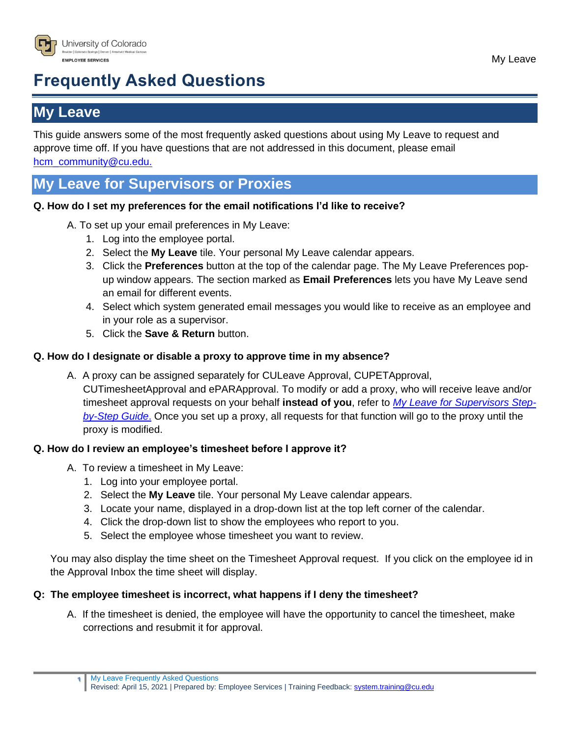

# **Frequently Asked Questions**

# **My Leave**

This guide answers some of the most frequently asked questions about using My Leave to request and approve time off. If you have questions that are not addressed in this document, please email [hcm\\_community@cu.edu.](mailto:hcm_community@cu.edu)

# **My Leave for Supervisors or Proxies**

#### **Q. How do I set my preferences for the email notifications I'd like to receive?**

- A. To set up your email preferences in My Leave:
	- 1. Log into the employee portal.
	- 2. Select the **My Leave** tile. Your personal My Leave calendar appears.
	- 3. Click the **Preferences** button at the top of the calendar page. The My Leave Preferences popup window appears. The section marked as **Email Preferences** lets you have My Leave send an email for different events.
	- 4. Select which system generated email messages you would like to receive as an employee and in your role as a supervisor.
	- 5. Click the **Save & Return** button.

#### **Q. How do I designate or disable a proxy to approve time in my absence?**

A. A proxy can be assigned separately for CULeave Approval, CUPETApproval, CUTimesheetApproval and ePARApproval. To modify or add a proxy, who will receive leave and/or timesheet approval requests on your behalf **instead of you**, refer to *[My Leave for Supervisors](https://www.cu.edu/docs/sbs-my-leave-supervisors) Step[by-Step Guide](https://www.cu.edu/docs/sbs-my-leave-supervisors)*. Once you set up a proxy, all requests for that function will go to the proxy until the proxy is modified.

#### **Q. How do I review an employee's timesheet before I approve it?**

- A. To review a timesheet in My Leave:
	- 1. Log into your employee portal.
	- 2. Select the **My Leave** tile. Your personal My Leave calendar appears.
	- 3. Locate your name, displayed in a drop-down list at the top left corner of the calendar.
	- 4. Click the drop-down list to show the employees who report to you.
	- 5. Select the employee whose timesheet you want to review.

You may also display the time sheet on the Timesheet Approval request. If you click on the employee id in the Approval Inbox the time sheet will display.

#### **Q: The employee timesheet is incorrect, what happens if I deny the timesheet?**

A. If the timesheet is denied, the employee will have the opportunity to cancel the timesheet, make corrections and resubmit it for approval.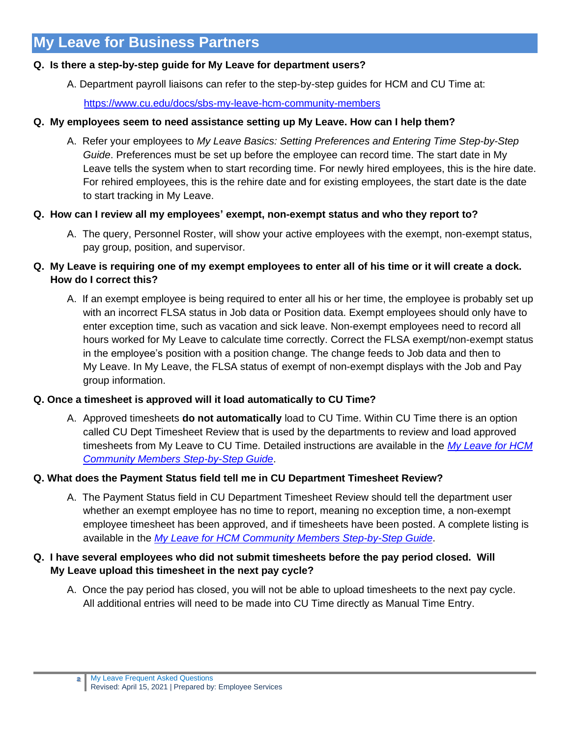# **My Leave for Business Partners**

#### **Q. Is there a step-by-step guide for My Leave for department users?**

A. Department payroll liaisons can refer to the step-by-step guides for HCM and CU Time at:

<https://www.cu.edu/docs/sbs-my-leave-hcm-community-members>

#### **Q. My employees seem to need assistance setting up My Leave. How can I help them?**

A. Refer your employees to *My Leave Basics: Setting Preferences and Entering Time Step-by-Step Guide*. Preferences must be set up before the employee can record time. The start date in My Leave tells the system when to start recording time. For newly hired employees, this is the hire date. For rehired employees, this is the rehire date and for existing employees, the start date is the date to start tracking in My Leave.

#### **Q. How can I review all my employees' exempt, non-exempt status and who they report to?**

A. The query, Personnel Roster, will show your active employees with the exempt, non-exempt status, pay group, position, and supervisor.

#### **Q. My Leave is requiring one of my exempt employees to enter all of his time or it will create a dock. How do I correct this?**

A. If an exempt employee is being required to enter all his or her time, the employee is probably set up with an incorrect FLSA status in Job data or Position data. Exempt employees should only have to enter exception time, such as vacation and sick leave. Non-exempt employees need to record all hours worked for My Leave to calculate time correctly. Correct the FLSA exempt/non-exempt status in the employee's position with a position change. The change feeds to Job data and then to My Leave. In My Leave, the FLSA status of exempt of non-exempt displays with the Job and Pay group information.

#### **Q. Once a timesheet is approved will it load automatically to CU Time?**

A. Approved timesheets **do not automatically** load to CU Time. Within CU Time there is an option called CU Dept Timesheet Review that is used by the departments to review and load approved timesheets from My Leave to CU Time. Detailed instructions are available in the *[My Leave for HCM](http://www.cu.edu/docs/sbs-my-leave-hcm-community-members)  [Community Members Step-by-Step Guide](http://www.cu.edu/docs/sbs-my-leave-hcm-community-members)*.

#### **Q. What does the Payment Status field tell me in CU Department Timesheet Review?**

A. The Payment Status field in CU Department Timesheet Review should tell the department user whether an exempt employee has no time to report, meaning no exception time, a non-exempt employee timesheet has been approved, and if timesheets have been posted. A complete listing is available in the *[My Leave for HCM Community Members Step-by-Step Guide](http://www.cu.edu/docs/sbs-my-leave-hcm-community-members)*.

#### **Q. I have several employees who did not submit timesheets before the pay period closed. Will My Leave upload this timesheet in the next pay cycle?**

A. Once the pay period has closed, you will not be able to upload timesheets to the next pay cycle. All additional entries will need to be made into CU Time directly as Manual Time Entry.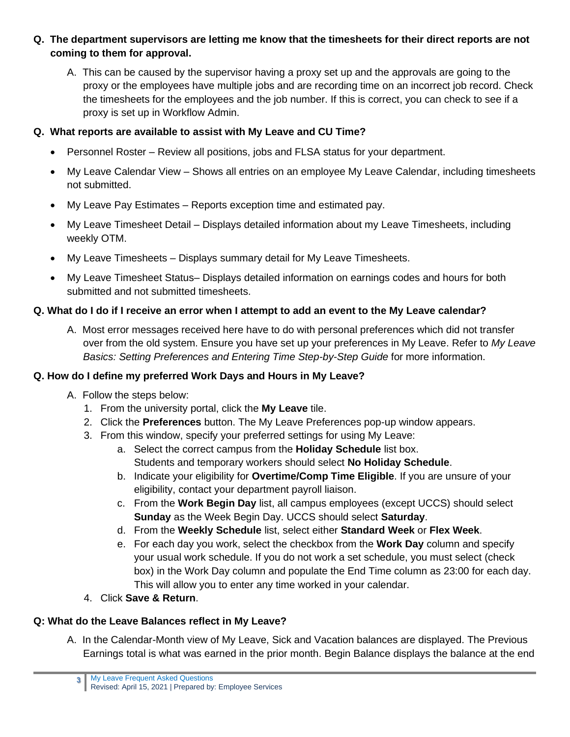- **Q. The department supervisors are letting me know that the timesheets for their direct reports are not coming to them for approval.** 
	- A. This can be caused by the supervisor having a proxy set up and the approvals are going to the proxy or the employees have multiple jobs and are recording time on an incorrect job record. Check the timesheets for the employees and the job number. If this is correct, you can check to see if a proxy is set up in Workflow Admin.

### **Q. What reports are available to assist with My Leave and CU Time?**

- Personnel Roster Review all positions, jobs and FLSA status for your department.
- My Leave Calendar View Shows all entries on an employee My Leave Calendar, including timesheets not submitted.
- My Leave Pay Estimates Reports exception time and estimated pay.
- My Leave Timesheet Detail Displays detailed information about my Leave Timesheets, including weekly OTM.
- My Leave Timesheets Displays summary detail for My Leave Timesheets.
- My Leave Timesheet Status– Displays detailed information on earnings codes and hours for both submitted and not submitted timesheets.

# **Q. What do I do if I receive an error when I attempt to add an event to the My Leave calendar?**

A. Most error messages received here have to do with personal preferences which did not transfer over from the old system. Ensure you have set up your preferences in My Leave. Refer to *My Leave Basics: Setting Preferences and Entering Time Step-by-Step Guide* for more information.

# **Q. How do I define my preferred Work Days and Hours in My Leave?**

- A. Follow the steps below:
	- 1. From the university portal, click the **My Leave** tile.
	- 2. Click the **Preferences** button. The My Leave Preferences pop-up window appears.
	- 3. From this window, specify your preferred settings for using My Leave:
		- a. Select the correct campus from the **Holiday Schedule** list box. Students and temporary workers should select **No Holiday Schedule**.
		- b. Indicate your eligibility for **Overtime/Comp Time Eligible**. If you are unsure of your eligibility, contact your department payroll liaison.
		- c. From the **Work Begin Day** list, all campus employees (except UCCS) should select **Sunday** as the Week Begin Day. UCCS should select **Saturday**.
		- d. From the **Weekly Schedule** list, select either **Standard Week** or **Flex Week**.
		- e. For each day you work, select the checkbox from the **Work Day** column and specify your usual work schedule. If you do not work a set schedule, you must select (check box) in the Work Day column and populate the End Time column as 23:00 for each day. This will allow you to enter any time worked in your calendar.
	- 4. Click **Save & Return**.

# **Q: What do the Leave Balances reflect in My Leave?**

A. In the Calendar-Month view of My Leave, Sick and Vacation balances are displayed. The Previous Earnings total is what was earned in the prior month. Begin Balance displays the balance at the end